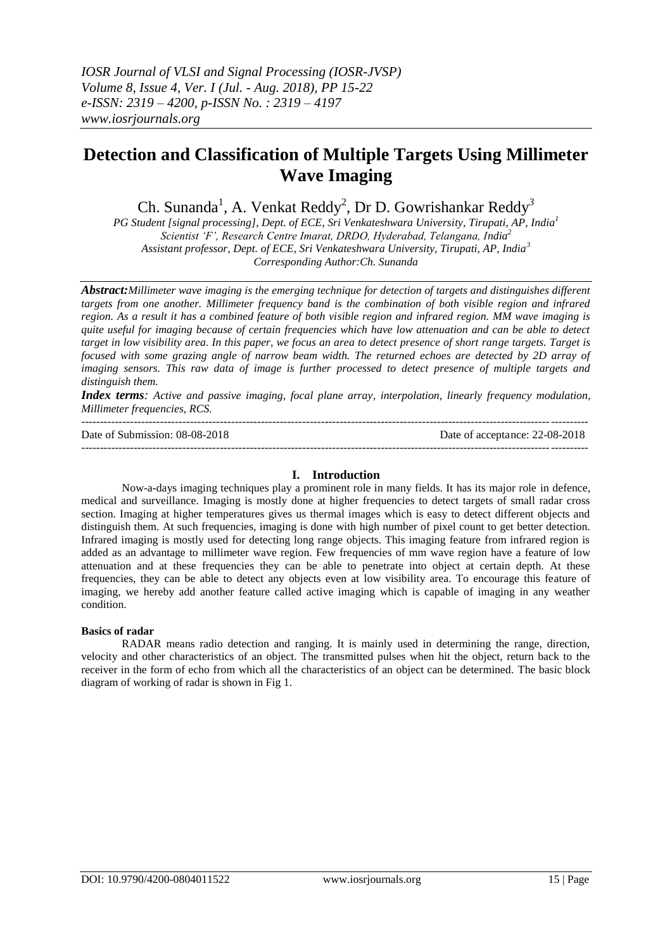# **Detection and Classification of Multiple Targets Using Millimeter Wave Imaging**

Ch. Sunanda<sup>1</sup>, A. Venkat Reddy<sup>2</sup>, Dr D. Gowrishankar Reddy<sup>3</sup>

*PG Student [signal processing], Dept. of ECE, Sri Venkateshwara University, Tirupati, AP, India<sup>1</sup> Scientist 'F', Research Centre Imarat, DRDO, Hyderabad, Telangana, India<sup>2</sup> Assistant professor, Dept. of ECE, Sri Venkateshwara University, Tirupati, AP, India<sup>3</sup> Corresponding Author:Ch. Sunanda*

*Abstract:Millimeter wave imaging is the emerging technique for detection of targets and distinguishes different targets from one another. Millimeter frequency band is the combination of both visible region and infrared region. As a result it has a combined feature of both visible region and infrared region. MM wave imaging is quite useful for imaging because of certain frequencies which have low attenuation and can be able to detect target in low visibility area. In this paper, we focus an area to detect presence of short range targets. Target is focused with some grazing angle of narrow beam width. The returned echoes are detected by 2D array of imaging sensors. This raw data of image is further processed to detect presence of multiple targets and distinguish them.*

*Index terms:* Active and passive imaging, focal plane array, interpolation, linearly frequency modulation, *Millimeter frequencies, RCS.*

--------------------------------------------------------------------------------------------------------------------------------------- Date of Submission: 08-08-2018 Date of acceptance: 22-08-2018 ---------------------------------------------------------------------------------------------------------------------------------------

## **I. Introduction**

Now-a-days imaging techniques play a prominent role in many fields. It has its major role in defence, medical and surveillance. Imaging is mostly done at higher frequencies to detect targets of small radar cross section. Imaging at higher temperatures gives us thermal images which is easy to detect different objects and distinguish them. At such frequencies, imaging is done with high number of pixel count to get better detection. Infrared imaging is mostly used for detecting long range objects. This imaging feature from infrared region is added as an advantage to millimeter wave region. Few frequencies of mm wave region have a feature of low attenuation and at these frequencies they can be able to penetrate into object at certain depth. At these frequencies, they can be able to detect any objects even at low visibility area. To encourage this feature of imaging, we hereby add another feature called active imaging which is capable of imaging in any weather condition.

## **Basics of radar**

RADAR means radio detection and ranging. It is mainly used in determining the range, direction, velocity and other characteristics of an object. The transmitted pulses when hit the object, return back to the receiver in the form of echo from which all the characteristics of an object can be determined. The basic block diagram of working of radar is shown in Fig 1.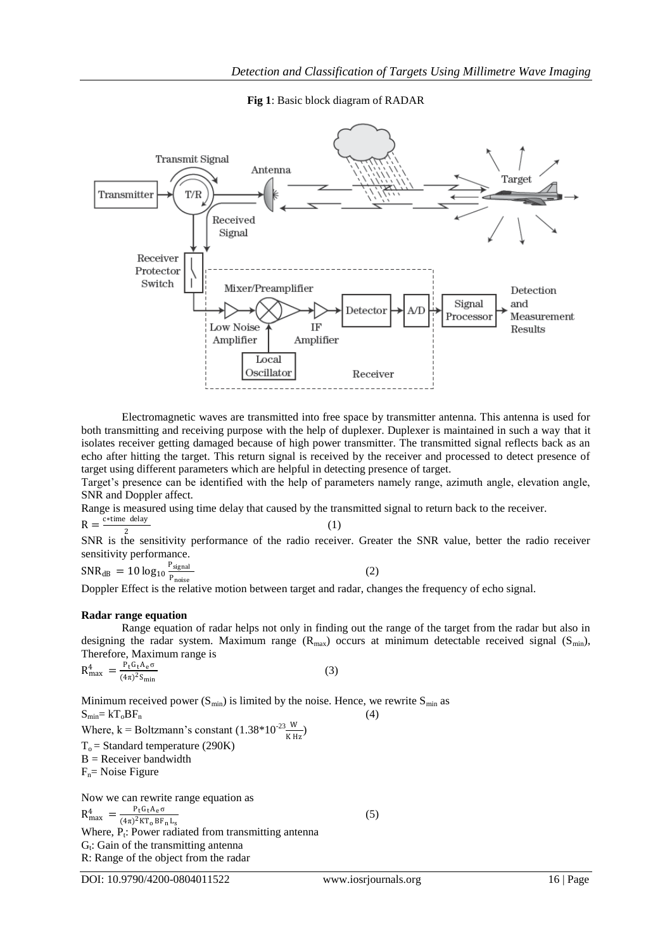**Fig 1**: Basic block diagram of RADAR



Electromagnetic waves are transmitted into free space by transmitter antenna. This antenna is used for both transmitting and receiving purpose with the help of duplexer. Duplexer is maintained in such a way that it isolates receiver getting damaged because of high power transmitter. The transmitted signal reflects back as an echo after hitting the target. This return signal is received by the receiver and processed to detect presence of target using different parameters which are helpful in detecting presence of target.

Target's presence can be identified with the help of parameters namely range, azimuth angle, elevation angle, SNR and Doppler affect.

Range is measured using time delay that caused by the transmitted signal to return back to the receiver.

 $R = \frac{c * time$  delay

2 SNR is the sensitivity performance of the radio receiver. Greater the SNR value, better the radio receiver sensitivity performance.

(1)

 $\text{SNR}_{\text{dB}} = 10 \log_{10} \frac{\text{P}_{\text{signal}}}{\text{p}}$ P<sub>noise</sub> (2)

Doppler Effect is the relative motion between target and radar, changes the frequency of echo signal.

## **Radar range equation**

Range equation of radar helps not only in finding out the range of the target from the radar but also in designing the radar system. Maximum range  $(R_{max})$  occurs at minimum detectable received signal  $(S_{min})$ , Therefore, Maximum range is

(3)

$$
R_{\text{max}}^4 = \frac{P_{\text{t}} G_{\text{t}} A_{\text{e}} \sigma}{(4\pi)^2 S_{\text{min}}}
$$

Minimum received power  $(S_{min})$  is limited by the noise. Hence, we rewrite  $S_{min}$  as  $S_{\text{min}} = kT_0BF_n$  (4) Where, k = Boltzmann's constant  $(1.38*10^{23} \frac{W}{K Hz})$ 

 $T<sub>o</sub>$  = Standard temperature (290K)

 $B =$  Receiver bandwidth

 $F_n$ = Noise Figure

Now we can rewrite range equation as<br> $n^4 = \frac{P_t G_t A_e \sigma}{r^2}$  $R_{\text{max}}^4 = \frac{P_t G_t A_e \sigma}{(4\pi)^2 K T - RF}$  $(4\pi)^2$ KT<sub>o</sub>BF<sub>n</sub>L<sub>s</sub> Where,  $P_t$ : Power radiated from transmitting antenna G<sub>t</sub>: Gain of the transmitting antenna R: Range of the object from the radar

DOI: 10.9790/4200-0804011522 www.iosrjournals.org 16 | Page

(5)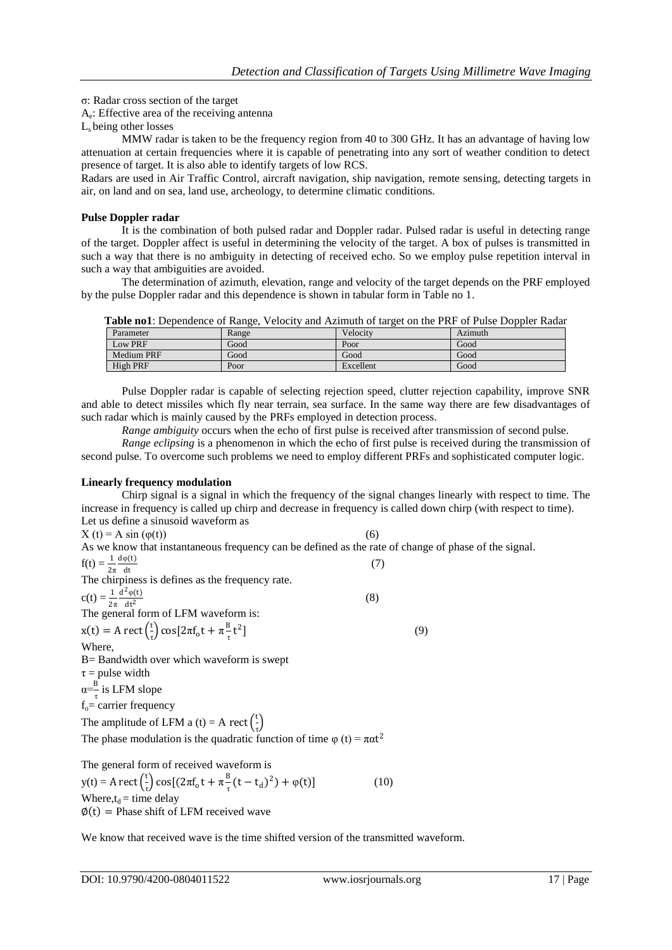σ: Radar cross section of the target

Ae : Effective area of the receiving antenna

Ls being other losses

MMW radar is taken to be the frequency region from 40 to 300 GHz. It has an advantage of having low attenuation at certain frequencies where it is capable of penetrating into any sort of weather condition to detect presence of target. It is also able to identify targets of low RCS.

Radars are used in Air Traffic Control, aircraft navigation, ship navigation, remote sensing, detecting targets in air, on land and on sea, land use, archeology, to determine climatic conditions.

#### **Pulse Doppler radar**

It is the combination of both pulsed radar and Doppler radar. Pulsed radar is useful in detecting range of the target. Doppler affect is useful in determining the velocity of the target. A box of pulses is transmitted in such a way that there is no ambiguity in detecting of received echo. So we employ pulse repetition interval in such a way that ambiguities are avoided.

The determination of azimuth, elevation, range and velocity of the target depends on the PRF employed by the pulse Doppler radar and this dependence is shown in tabular form in Table no 1.

| Parameter         | Range | Velocity  | Azimuth |
|-------------------|-------|-----------|---------|
| Low PRF           | Good  | Poor      | Good    |
| <b>Medium PRF</b> | Good  | Good      | Good    |
| High PRF          | Poor  | Excellent | Good    |

Pulse Doppler radar is capable of selecting rejection speed, clutter rejection capability, improve SNR and able to detect missiles which fly near terrain, sea surface. In the same way there are few disadvantages of such radar which is mainly caused by the PRFs employed in detection process.

*Range ambiguity* occurs when the echo of first pulse is received after transmission of second pulse.

*Range eclipsing* is a phenomenon in which the echo of first pulse is received during the transmission of second pulse. To overcome such problems we need to employ different PRFs and sophisticated computer logic.

## **Linearly frequency modulation**

Chirp signal is a signal in which the frequency of the signal changes linearly with respect to time. The increase in frequency is called up chirp and decrease in frequency is called down chirp (with respect to time). Let us define a sinusoid waveform as

(7)

(8)

 $X(t) = A sin (φ(t))$  (6)

As we know that instantaneous frequency can be defined as the rate of change of phase of the signal.

$$
f(t) = \frac{1}{2\pi} \frac{d\varphi(t)}{dt}
$$

The chirpiness is defines as the frequency rate.  $c(t) = \frac{1}{2\pi}$  $d^2$ φ(t)  $\frac{d^{(t)} - 2\pi}{dt^2}$  at form of LFM waveform is:

 $x(t) = A \text{ rect} \left( \frac{t}{2} \right)$  $\int_{\tau}^{\tau} \cos[2\pi f_0 t + \pi \frac{B}{\tau}]$  $\frac{1}{\tau}t^2$  $\left| \begin{array}{ccc} \end{array} \right|$  (9)

Where,

B= Bandwidth over which waveform is swept  $\tau$  = pulse width  $a = \frac{B}{A}$ 

 $\frac{b}{\tau}$  is LFM slope  $f<sub>o</sub>=$  carrier frequency

The amplitude of LFM a (t) = A rect  $\left(\frac{t}{t}\right)$ 

 $\frac{1}{\tau}$ The phase modulation is the quadratic function of time  $\varphi$  (t) =  $\pi \alpha t^2$ 

The general form of received waveform is  $y(t) = A \text{ rect} \left( \frac{t}{2} \right)$  $\frac{t}{\tau}$ ) cos[(2πf<sub>o</sub>t + π $\frac{B}{\tau}$  $\frac{B}{\tau} (t - t_d)^2) + \varphi(t)$ ] (10) Where, $t_d$  = time delay  $\phi(t)$  = Phase shift of LFM received wave

We know that received wave is the time shifted version of the transmitted waveform.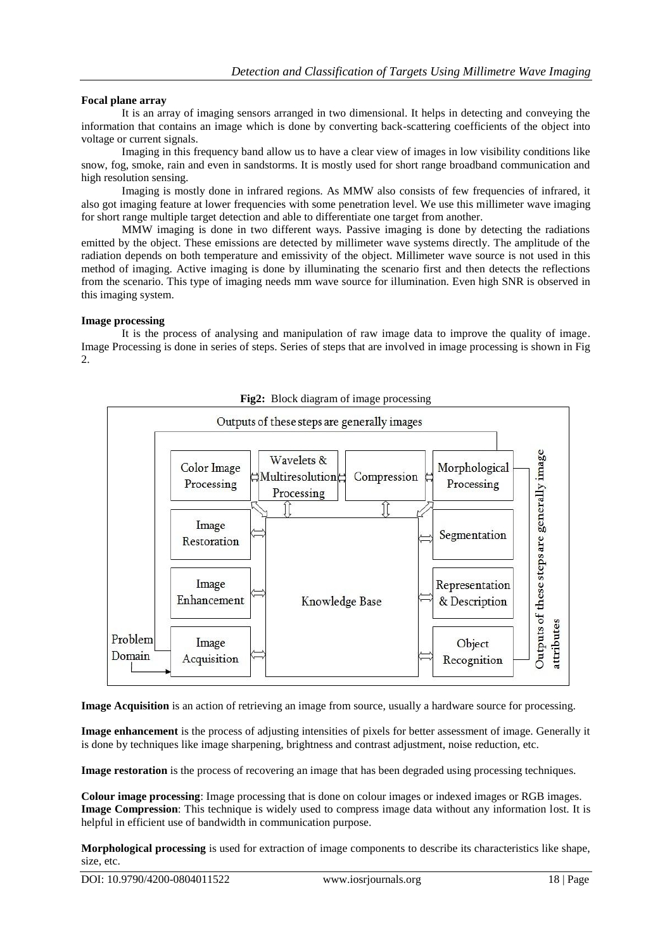## **Focal plane array**

It is an array of imaging sensors arranged in two dimensional. It helps in detecting and conveying the information that contains an image which is done by converting back-scattering coefficients of the object into voltage or current signals.

Imaging in this frequency band allow us to have a clear view of images in low visibility conditions like snow, fog, smoke, rain and even in sandstorms. It is mostly used for short range broadband communication and high resolution sensing.

Imaging is mostly done in infrared regions. As MMW also consists of few frequencies of infrared, it also got imaging feature at lower frequencies with some penetration level. We use this millimeter wave imaging for short range multiple target detection and able to differentiate one target from another.

MMW imaging is done in two different ways. Passive imaging is done by detecting the radiations emitted by the object. These emissions are detected by millimeter wave systems directly. The amplitude of the radiation depends on both temperature and emissivity of the object. Millimeter wave source is not used in this method of imaging. Active imaging is done by illuminating the scenario first and then detects the reflections from the scenario. This type of imaging needs mm wave source for illumination. Even high SNR is observed in this imaging system.

# **Image processing**

It is the process of analysing and manipulation of raw image data to improve the quality of image. Image Processing is done in series of steps. Series of steps that are involved in image processing is shown in Fig 2.



**Fig2:** Block diagram of image processing

**Image Acquisition** is an action of retrieving an image from source, usually a hardware source for processing.

**Image enhancement** is the process of adjusting intensities of pixels for better assessment of image. Generally it is done by techniques like image sharpening, brightness and contrast adjustment, noise reduction, etc.

**Image restoration** is the process of recovering an image that has been degraded using processing techniques.

**Colour image processing**: Image processing that is done on colour images or indexed images or RGB images. **Image Compression**: This technique is widely used to compress image data without any information lost. It is helpful in efficient use of bandwidth in communication purpose.

**Morphological processing** is used for extraction of image components to describe its characteristics like shape, size, etc.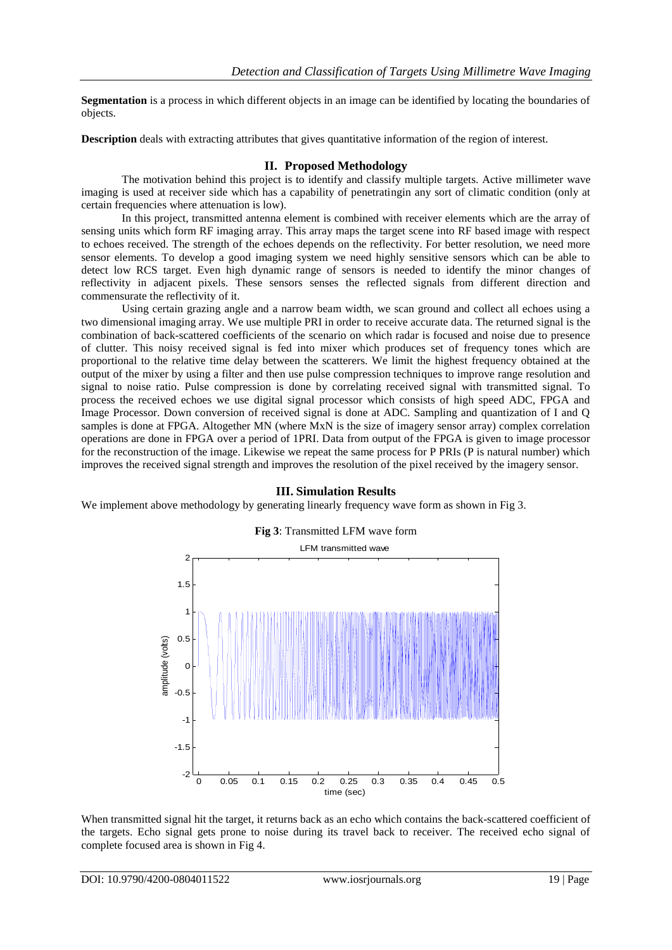**Segmentation** is a process in which different objects in an image can be identified by locating the boundaries of objects.

**Description** deals with extracting attributes that gives quantitative information of the region of interest.

# **II. Proposed Methodology**

The motivation behind this project is to identify and classify multiple targets. Active millimeter wave imaging is used at receiver side which has a capability of penetratingin any sort of climatic condition (only at certain frequencies where attenuation is low).

In this project, transmitted antenna element is combined with receiver elements which are the array of sensing units which form RF imaging array. This array maps the target scene into RF based image with respect to echoes received. The strength of the echoes depends on the reflectivity. For better resolution, we need more sensor elements. To develop a good imaging system we need highly sensitive sensors which can be able to detect low RCS target. Even high dynamic range of sensors is needed to identify the minor changes of reflectivity in adjacent pixels. These sensors senses the reflected signals from different direction and commensurate the reflectivity of it.

Using certain grazing angle and a narrow beam width, we scan ground and collect all echoes using a two dimensional imaging array. We use multiple PRI in order to receive accurate data. The returned signal is the combination of back-scattered coefficients of the scenario on which radar is focused and noise due to presence of clutter. This noisy received signal is fed into mixer which produces set of frequency tones which are proportional to the relative time delay between the scatterers. We limit the highest frequency obtained at the output of the mixer by using a filter and then use pulse compression techniques to improve range resolution and signal to noise ratio. Pulse compression is done by correlating received signal with transmitted signal. To process the received echoes we use digital signal processor which consists of high speed ADC, FPGA and Image Processor. Down conversion of received signal is done at ADC. Sampling and quantization of I and Q samples is done at FPGA. Altogether MN (where MxN is the size of imagery sensor array) complex correlation operations are done in FPGA over a period of 1PRI. Data from output of the FPGA is given to image processor for the reconstruction of the image. Likewise we repeat the same process for P PRIs (P is natural number) which improves the received signal strength and improves the resolution of the pixel received by the imagery sensor.



## **III. Simulation Results**

We implement above methodology by generating linearly frequency wave form as shown in Fig 3.

When transmitted signal hit the target, it returns back as an echo which contains the back-scattered coefficient of the targets. Echo signal gets prone to noise during its travel back to receiver. The received echo signal of complete focused area is shown in Fig 4.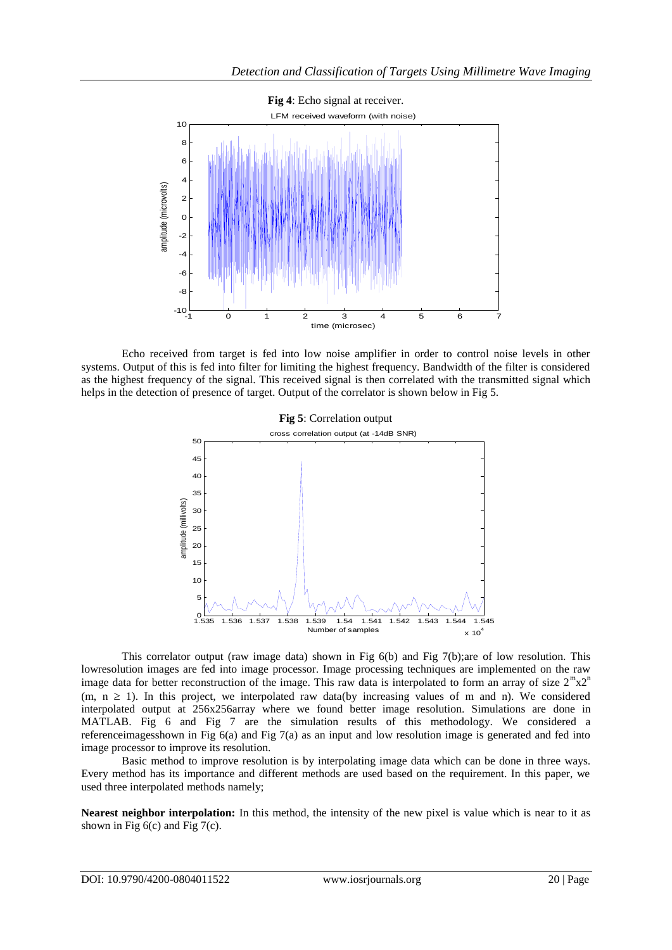

Echo received from target is fed into low noise amplifier in order to control noise levels in other systems. Output of this is fed into filter for limiting the highest frequency. Bandwidth of the filter is considered as the highest frequency of the signal. This received signal is then correlated with the transmitted signal which helps in the detection of presence of target. Output of the correlator is shown below in Fig 5.



This correlator output (raw image data) shown in Fig 6(b) and Fig 7(b);are of low resolution. This lowresolution images are fed into image processor. Image processing techniques are implemented on the raw image data for better reconstruction of the image. This raw data is interpolated to form an array of size  $2^m x 2^n$  $(m, n \ge 1)$ . In this project, we interpolated raw data(by increasing values of m and n). We considered interpolated output at 256x256array where we found better image resolution. Simulations are done in MATLAB. Fig 6 and Fig 7 are the simulation results of this methodology. We considered a referenceimagesshown in Fig 6(a) and Fig 7(a) as an input and low resolution image is generated and fed into image processor to improve its resolution.

Basic method to improve resolution is by interpolating image data which can be done in three ways. Every method has its importance and different methods are used based on the requirement. In this paper, we used three interpolated methods namely;

**Nearest neighbor interpolation:** In this method, the intensity of the new pixel is value which is near to it as shown in Fig  $6(c)$  and Fig  $7(c)$ .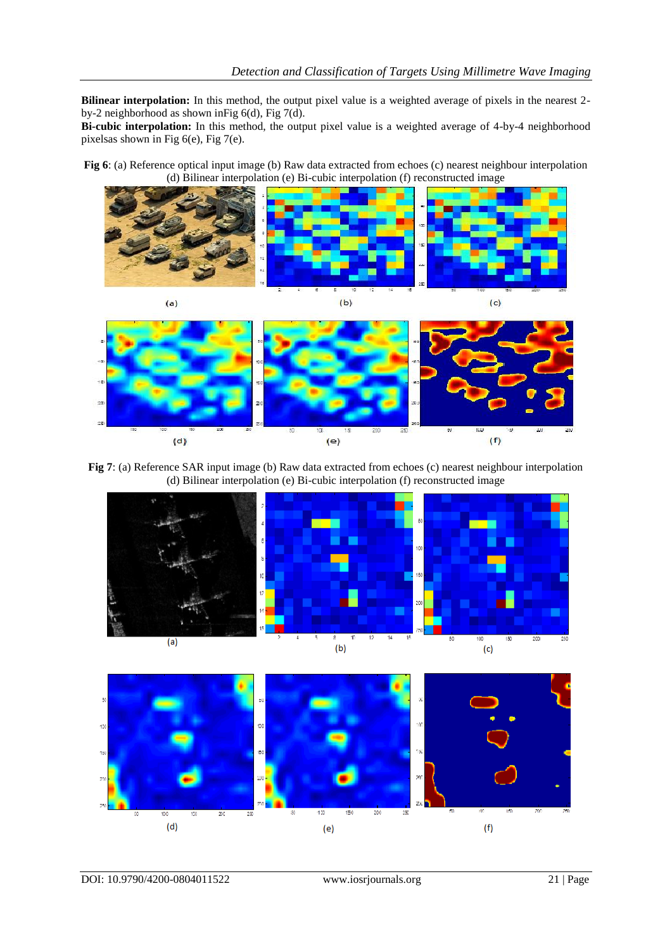**Bilinear interpolation:** In this method, the output pixel value is a weighted average of pixels in the nearest 2 by-2 neighborhood as shown inFig 6(d), Fig 7(d).

**Bi-cubic interpolation:** In this method, the output pixel value is a weighted average of 4-by-4 neighborhood pixelsas shown in Fig 6(e), Fig 7(e).

**Fig 6**: (a) Reference optical input image (b) Raw data extracted from echoes (c) nearest neighbour interpolation (d) Bilinear interpolation (e) Bi-cubic interpolation (f) reconstructed image



**Fig 7**: (a) Reference SAR input image (b) Raw data extracted from echoes (c) nearest neighbour interpolation (d) Bilinear interpolation (e) Bi-cubic interpolation (f) reconstructed image